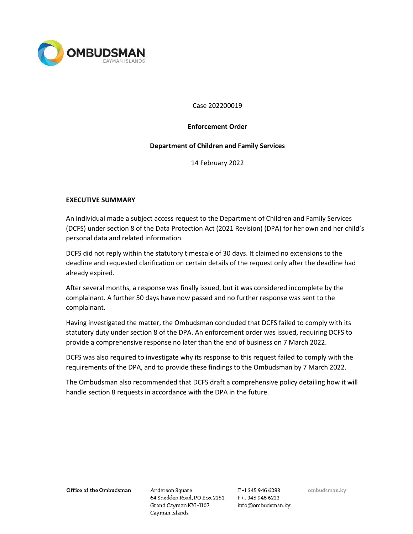

Case 202200019

### Enforcement Order

### Department of Children and Family Services

14 February 2022

## EXECUTIVE SUMMARY

An individual made a subject access request to the Department of Children and Family Services (DCFS) under section 8 of the Data Protection Act (2021 Revision) (DPA) for her own and her child's personal data and related information.

DCFS did not reply within the statutory timescale of 30 days. It claimed no extensions to the deadline and requested clarification on certain details of the request only after the deadline had already expired.

After several months, a response was finally issued, but it was considered incomplete by the complainant. A further 50 days have now passed and no further response was sent to the complainant.

Having investigated the matter, the Ombudsman concluded that DCFS failed to comply with its statutory duty under section 8 of the DPA. An enforcement order was issued, requiring DCFS to provide a comprehensive response no later than the end of business on 7 March 2022.

DCFS was also required to investigate why its response to this request failed to comply with the requirements of the DPA, and to provide these findings to the Ombudsman by 7 March 2022.

The Ombudsman also recommended that DCFS draft a comprehensive policy detailing how it will handle section 8 requests in accordance with the DPA in the future.

Office of the Ombudsman

Anderson Square 64 Shedden Road, PO Box 2252 F+1 345 946 6222 Grand Cayman KY1-1107 Cayman Islands

T+1 345 946 6283 info@ombudsman.ky ombudsman.ky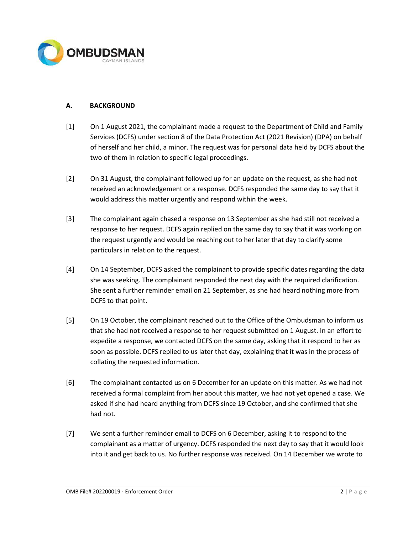

# A. BACKGROUND

- [1] On 1 August 2021, the complainant made a request to the Department of Child and Family Services (DCFS) under section 8 of the Data Protection Act (2021 Revision) (DPA) on behalf of herself and her child, a minor. The request was for personal data held by DCFS about the two of them in relation to specific legal proceedings.
- [2] On 31 August, the complainant followed up for an update on the request, as she had not received an acknowledgement or a response. DCFS responded the same day to say that it would address this matter urgently and respond within the week.
- [3] The complainant again chased a response on 13 September as she had still not received a response to her request. DCFS again replied on the same day to say that it was working on the request urgently and would be reaching out to her later that day to clarify some particulars in relation to the request.
- [4] On 14 September, DCFS asked the complainant to provide specific dates regarding the data she was seeking. The complainant responded the next day with the required clarification. She sent a further reminder email on 21 September, as she had heard nothing more from DCFS to that point.
- [5] On 19 October, the complainant reached out to the Office of the Ombudsman to inform us that she had not received a response to her request submitted on 1 August. In an effort to expedite a response, we contacted DCFS on the same day, asking that it respond to her as soon as possible. DCFS replied to us later that day, explaining that it was in the process of collating the requested information.
- [6] The complainant contacted us on 6 December for an update on this matter. As we had not received a formal complaint from her about this matter, we had not yet opened a case. We asked if she had heard anything from DCFS since 19 October, and she confirmed that she had not.
- [7] We sent a further reminder email to DCFS on 6 December, asking it to respond to the complainant as a matter of urgency. DCFS responded the next day to say that it would look into it and get back to us. No further response was received. On 14 December we wrote to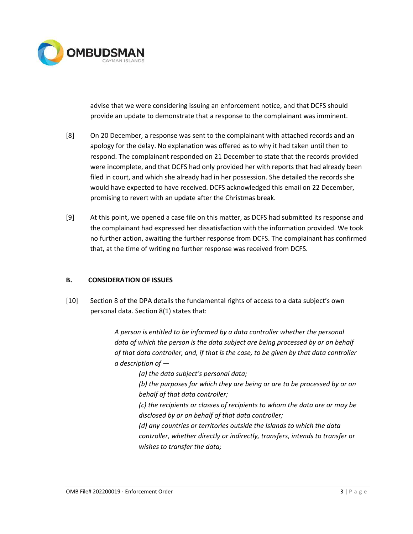

advise that we were considering issuing an enforcement notice, and that DCFS should provide an update to demonstrate that a response to the complainant was imminent.

- [8] On 20 December, a response was sent to the complainant with attached records and an apology for the delay. No explanation was offered as to why it had taken until then to respond. The complainant responded on 21 December to state that the records provided were incomplete, and that DCFS had only provided her with reports that had already been filed in court, and which she already had in her possession. She detailed the records she would have expected to have received. DCFS acknowledged this email on 22 December, promising to revert with an update after the Christmas break.
- [9] At this point, we opened a case file on this matter, as DCFS had submitted its response and the complainant had expressed her dissatisfaction with the information provided. We took no further action, awaiting the further response from DCFS. The complainant has confirmed that, at the time of writing no further response was received from DCFS.

## B. CONSIDERATION OF ISSUES

[10] Section 8 of the DPA details the fundamental rights of access to a data subject's own personal data. Section 8(1) states that:

> A person is entitled to be informed by a data controller whether the personal data of which the person is the data subject are being processed by or on behalf of that data controller, and, if that is the case, to be given by that data controller a description of —

(a) the data subject's personal data;

(b) the purposes for which they are being or are to be processed by or on behalf of that data controller;

(c) the recipients or classes of recipients to whom the data are or may be disclosed by or on behalf of that data controller;

(d) any countries or territories outside the Islands to which the data controller, whether directly or indirectly, transfers, intends to transfer or wishes to transfer the data;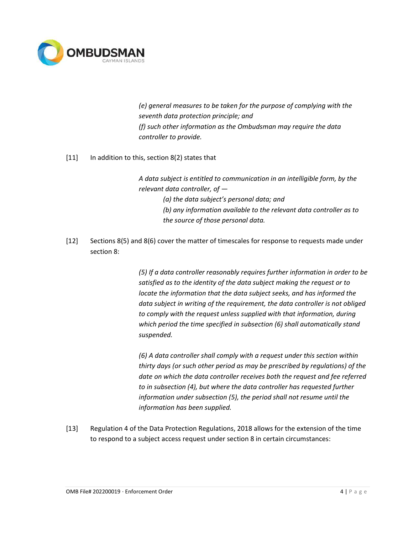

(e) general measures to be taken for the purpose of complying with the seventh data protection principle; and (f) such other information as the Ombudsman may require the data controller to provide.

[11] In addition to this, section 8(2) states that

A data subject is entitled to communication in an intelligible form, by the relevant data controller, of —

(a) the data subject's personal data; and (b) any information available to the relevant data controller as to the source of those personal data.

[12] Sections 8(5) and 8(6) cover the matter of timescales for response to requests made under section 8:

> (5) If a data controller reasonably requires further information in order to be satisfied as to the identity of the data subject making the request or to locate the information that the data subject seeks, and has informed the data subject in writing of the requirement, the data controller is not obliged to comply with the request unless supplied with that information, during which period the time specified in subsection (6) shall automatically stand suspended.

> (6) A data controller shall comply with a request under this section within thirty days (or such other period as may be prescribed by regulations) of the date on which the data controller receives both the request and fee referred to in subsection (4), but where the data controller has requested further information under subsection (5), the period shall not resume until the information has been supplied.

[13] Regulation 4 of the Data Protection Regulations, 2018 allows for the extension of the time to respond to a subject access request under section 8 in certain circumstances: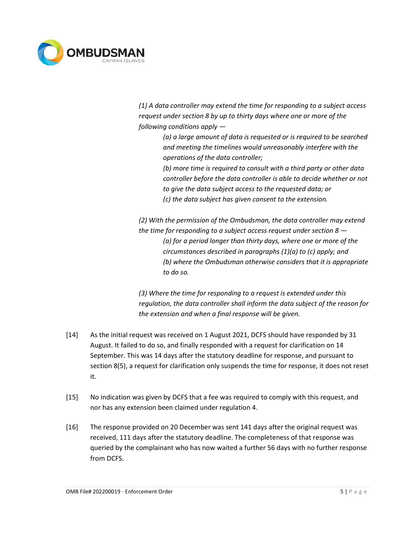

(1) A data controller may extend the time for responding to a subject access request under section 8 by up to thirty days where one or more of the following conditions apply —

> (a) a large amount of data is requested or is required to be searched and meeting the timelines would unreasonably interfere with the operations of the data controller;

> (b) more time is required to consult with a third party or other data controller before the data controller is able to decide whether or not to give the data subject access to the requested data; or (c) the data subject has given consent to the extension.

(2) With the permission of the Ombudsman, the data controller may extend the time for responding to a subject access request under section  $8 -$ (a) for a period longer than thirty days, where one or more of the circumstances described in paragraphs (1)(a) to (c) apply; and (b) where the Ombudsman otherwise considers that it is appropriate to do so.

(3) Where the time for responding to a request is extended under this regulation, the data controller shall inform the data subject of the reason for the extension and when a final response will be given.

- [14] As the initial request was received on 1 August 2021, DCFS should have responded by 31 August. It failed to do so, and finally responded with a request for clarification on 14 September. This was 14 days after the statutory deadline for response, and pursuant to section 8(5), a request for clarification only suspends the time for response, it does not reset it.
- [15] No indication was given by DCFS that a fee was required to comply with this request, and nor has any extension been claimed under regulation 4.
- [16] The response provided on 20 December was sent 141 days after the original request was received, 111 days after the statutory deadline. The completeness of that response was queried by the complainant who has now waited a further 56 days with no further response from DCFS.